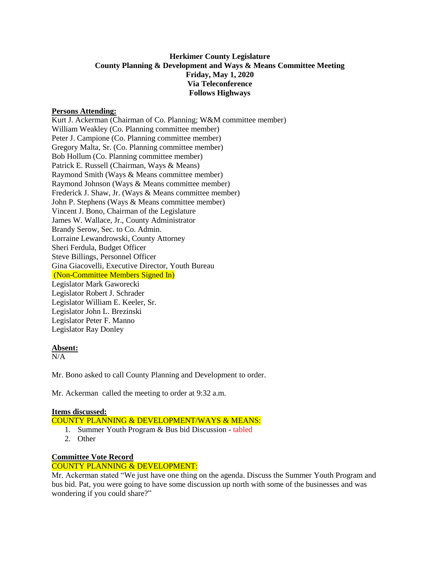# **Herkimer County Legislature County Planning & Development and Ways & Means Committee Meeting Friday, May 1, 2020 Via Teleconference Follows Highways**

### **Persons Attending:**

Kurt J. Ackerman (Chairman of Co. Planning; W&M committee member) William Weakley (Co. Planning committee member) Peter J. Campione (Co. Planning committee member) Gregory Malta, Sr. (Co. Planning committee member) Bob Hollum (Co. Planning committee member) Patrick E. Russell (Chairman, Ways & Means) Raymond Smith (Ways & Means committee member) Raymond Johnson (Ways & Means committee member) Frederick J. Shaw, Jr. (Ways & Means committee member) John P. Stephens (Ways & Means committee member) Vincent J. Bono, Chairman of the Legislature James W. Wallace, Jr., County Administrator Brandy Serow, Sec. to Co. Admin. Lorraine Lewandrowski, County Attorney Sheri Ferdula, Budget Officer Steve Billings, Personnel Officer Gina Giacovelli, Executive Director, Youth Bureau (Non-Committee Members Signed In) Legislator Mark Gaworecki Legislator Robert J. Schrader Legislator William E. Keeler, Sr. Legislator John L. Brezinski Legislator Peter F. Manno Legislator Ray Donley

# **Absent:**

 $\overline{N/A}$ 

Mr. Bono asked to call County Planning and Development to order.

Mr. Ackerman called the meeting to order at 9:32 a.m.

### **Items discussed:**

COUNTY PLANNING & DEVELOPMENT/WAYS & MEANS:

- 1. Summer Youth Program & Bus bid Discussion tabled
- 2. Other

### **Committee Vote Record**

### COUNTY PLANNING & DEVELOPMENT:

Mr. Ackerman stated "We just have one thing on the agenda. Discuss the Summer Youth Program and bus bid. Pat, you were going to have some discussion up north with some of the businesses and was wondering if you could share?"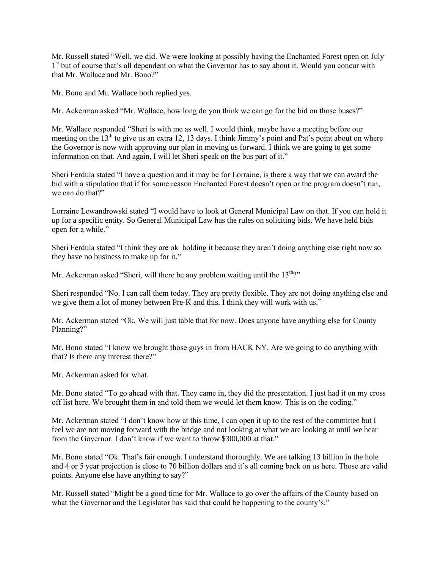Mr. Russell stated "Well, we did. We were looking at possibly having the Enchanted Forest open on July 1<sup>st</sup> but of course that's all dependent on what the Governor has to say about it. Would you concur with that Mr. Wallace and Mr. Bono?"

Mr. Bono and Mr. Wallace both replied yes.

Mr. Ackerman asked "Mr. Wallace, how long do you think we can go for the bid on those buses?"

Mr. Wallace responded "Sheri is with me as well. I would think, maybe have a meeting before our meeting on the  $13<sup>th</sup>$  to give us an extra 12, 13 days. I think Jimmy's point and Pat's point about on where the Governor is now with approving our plan in moving us forward. I think we are going to get some information on that. And again, I will let Sheri speak on the bus part of it."

Sheri Ferdula stated "I have a question and it may be for Lorraine, is there a way that we can award the bid with a stipulation that if for some reason Enchanted Forest doesn't open or the program doesn't run, we can do that?"

Lorraine Lewandrowski stated "I would have to look at General Municipal Law on that. If you can hold it up for a specific entity. So General Municipal Law has the rules on soliciting bids. We have held bids open for a while."

Sheri Ferdula stated "I think they are ok holding it because they aren't doing anything else right now so they have no business to make up for it."

Mr. Ackerman asked "Sheri, will there be any problem waiting until the  $13^{\text{th}}$ ?"

Sheri responded "No. I can call them today. They are pretty flexible. They are not doing anything else and we give them a lot of money between Pre-K and this. I think they will work with us."

Mr. Ackerman stated "Ok. We will just table that for now. Does anyone have anything else for County Planning?"

Mr. Bono stated "I know we brought those guys in from HACK NY. Are we going to do anything with that? Is there any interest there?"

Mr. Ackerman asked for what.

Mr. Bono stated "To go ahead with that. They came in, they did the presentation. I just had it on my cross off list here. We brought them in and told them we would let them know. This is on the coding."

Mr. Ackerman stated "I don't know how at this time, I can open it up to the rest of the committee but I feel we are not moving forward with the bridge and not looking at what we are looking at until we hear from the Governor. I don't know if we want to throw \$300,000 at that."

Mr. Bono stated "Ok. That's fair enough. I understand thoroughly. We are talking 13 billion in the hole and 4 or 5 year projection is close to 70 billion dollars and it's all coming back on us here. Those are valid points. Anyone else have anything to say?"

Mr. Russell stated "Might be a good time for Mr. Wallace to go over the affairs of the County based on what the Governor and the Legislator has said that could be happening to the county's."